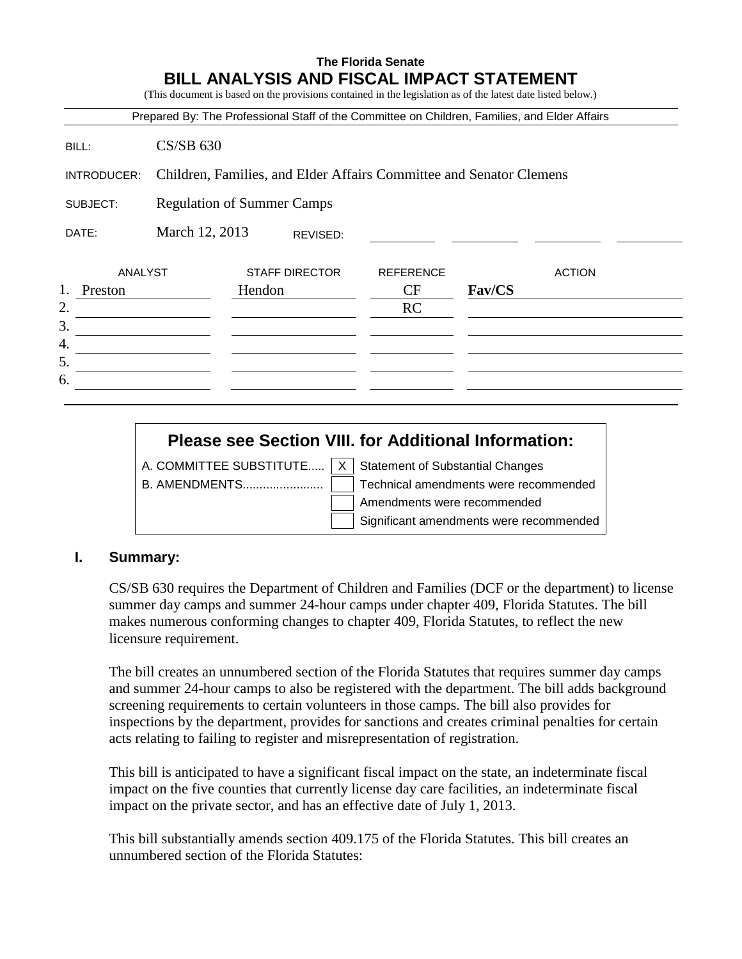### **The Florida Senate BILL ANALYSIS AND FISCAL IMPACT STATEMENT**

(This document is based on the provisions contained in the legislation as of the latest date listed below.)

|               |                                                                     | Prepared By: The Professional Staff of the Committee on Children, Families, and Elder Affairs |                  |        |               |  |  |
|---------------|---------------------------------------------------------------------|-----------------------------------------------------------------------------------------------|------------------|--------|---------------|--|--|
| BILL:         | $CS/SB$ 630                                                         |                                                                                               |                  |        |               |  |  |
| INTRODUCER:   | Children, Families, and Elder Affairs Committee and Senator Clemens |                                                                                               |                  |        |               |  |  |
| SUBJECT:      | <b>Regulation of Summer Camps</b>                                   |                                                                                               |                  |        |               |  |  |
| DATE:         | March 12, 2013<br>REVISED:                                          |                                                                                               |                  |        |               |  |  |
| ANALYST       |                                                                     | <b>STAFF DIRECTOR</b>                                                                         | <b>REFERENCE</b> |        | <b>ACTION</b> |  |  |
| 1.<br>Preston |                                                                     | Hendon                                                                                        | CF               | Fav/CS |               |  |  |
| 2.<br>3.      |                                                                     |                                                                                               | <b>RC</b>        |        |               |  |  |
| 4.            |                                                                     |                                                                                               |                  |        |               |  |  |
| 5.            |                                                                     |                                                                                               |                  |        |               |  |  |
| 6.            |                                                                     |                                                                                               |                  |        |               |  |  |

# **Please see Section VIII. for Additional Information:**

A. COMMITTEE SUBSTITUTE.....  $X \mid$  Statement of Substantial Changes

B. AMENDMENTS........................ Technical amendments were recommended Amendments were recommended Significant amendments were recommended

#### **I. Summary:**

CS/SB 630 requires the Department of Children and Families (DCF or the department) to license summer day camps and summer 24-hour camps under chapter 409, Florida Statutes. The bill makes numerous conforming changes to chapter 409, Florida Statutes, to reflect the new licensure requirement.

The bill creates an unnumbered section of the Florida Statutes that requires summer day camps and summer 24-hour camps to also be registered with the department. The bill adds background screening requirements to certain volunteers in those camps. The bill also provides for inspections by the department, provides for sanctions and creates criminal penalties for certain acts relating to failing to register and misrepresentation of registration.

This bill is anticipated to have a significant fiscal impact on the state, an indeterminate fiscal impact on the five counties that currently license day care facilities, an indeterminate fiscal impact on the private sector, and has an effective date of July 1, 2013.

This bill substantially amends section 409.175 of the Florida Statutes. This bill creates an unnumbered section of the Florida Statutes: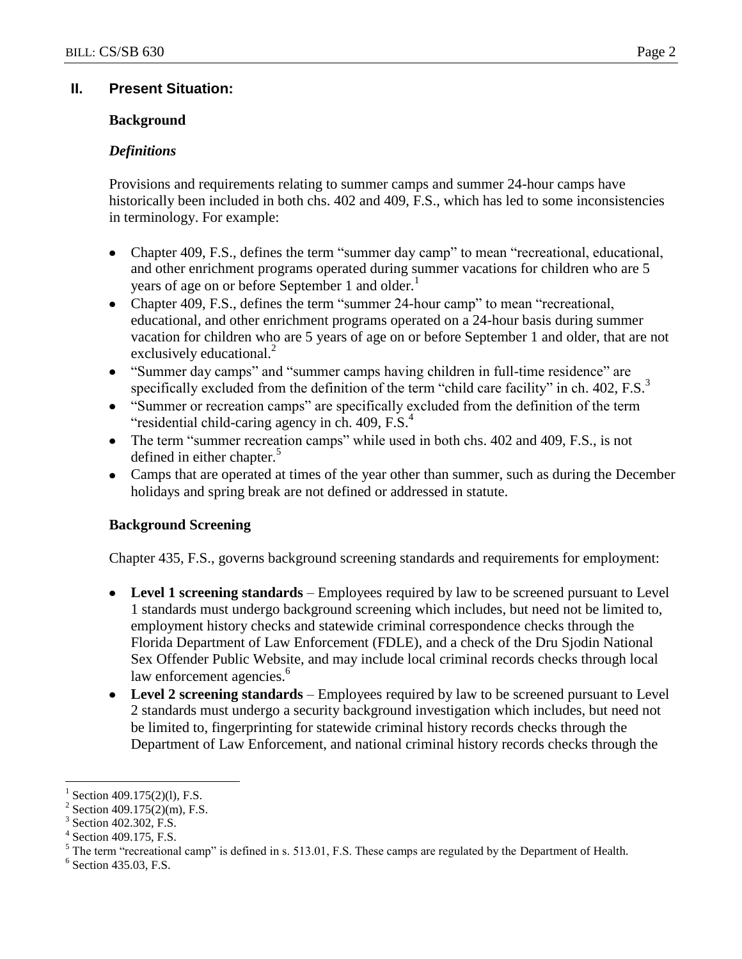# **II. Present Situation:**

# **Background**

# *Definitions*

Provisions and requirements relating to summer camps and summer 24-hour camps have historically been included in both chs. 402 and 409, F.S., which has led to some inconsistencies in terminology. For example:

- Chapter 409, F.S., defines the term "summer day camp" to mean "recreational, educational,  $\bullet$ and other enrichment programs operated during summer vacations for children who are 5 years of age on or before September 1 and older.<sup>1</sup>
- Chapter 409, F.S., defines the term "summer 24-hour camp" to mean "recreational, educational, and other enrichment programs operated on a 24-hour basis during summer vacation for children who are 5 years of age on or before September 1 and older, that are not exclusively educational.<sup>2</sup>
- "Summer day camps" and "summer camps having children in full-time residence" are specifically excluded from the definition of the term "child care facility" in ch.  $402$ , F.S. $3$
- "Summer or recreation camps" are specifically excluded from the definition of the term "residential child-caring agency in ch.  $409$ , F.S. $<sup>4</sup>$ </sup>
- The term "summer recreation camps" while used in both chs. 402 and 409, F.S., is not defined in either chapter.<sup>5</sup>
- Camps that are operated at times of the year other than summer, such as during the December holidays and spring break are not defined or addressed in statute.

# **Background Screening**

Chapter 435, F.S., governs background screening standards and requirements for employment:

- **Level 1 screening standards** Employees required by law to be screened pursuant to Level 1 standards must undergo background screening which includes, but need not be limited to, employment history checks and statewide criminal correspondence checks through the Florida Department of Law Enforcement (FDLE), and a check of the Dru Sjodin National Sex Offender Public Website, and may include local criminal records checks through local law enforcement agencies.<sup>6</sup>
- **Level 2 screening standards**  Employees required by law to be screened pursuant to Level 2 standards must undergo a security background investigation which includes, but need not be limited to, fingerprinting for statewide criminal history records checks through the Department of Law Enforcement, and national criminal history records checks through the

 $\overline{a}$ 

<sup>1</sup> Section 409.175(2)(1), F.S.

<sup>2</sup> Section 409.175(2)(m), F.S.

<sup>3</sup> Section 402.302, F.S.

<sup>4</sup> Section 409.175, F.S.

<sup>5</sup> The term "recreational camp" is defined in s. 513.01, F.S. These camps are regulated by the Department of Health.

<sup>6</sup> Section 435.03, F.S.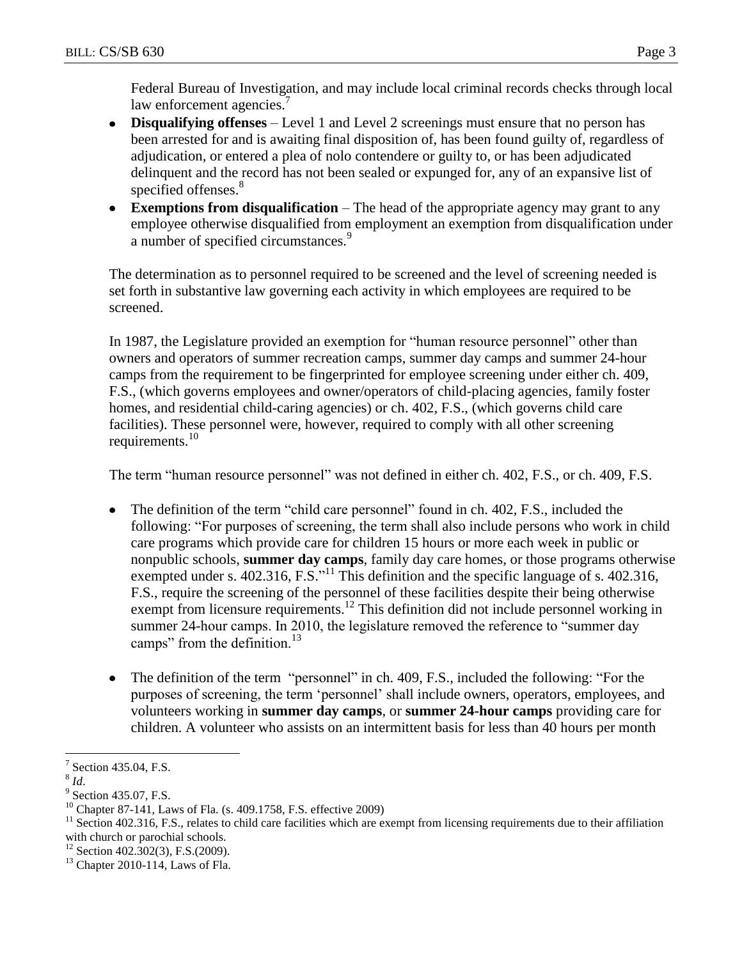Federal Bureau of Investigation, and may include local criminal records checks through local law enforcement agencies.<sup>7</sup>

- **Disqualifying offenses** Level 1 and Level 2 screenings must ensure that no person has been arrested for and is awaiting final disposition of, has been found guilty of, regardless of adjudication, or entered a plea of nolo contendere or guilty to, or has been adjudicated delinquent and the record has not been sealed or expunged for, any of an expansive list of specified offenses.<sup>8</sup>
- **Exemptions from disqualification** The head of the appropriate agency may grant to any employee otherwise disqualified from employment an exemption from disqualification under a number of specified circumstances.<sup>9</sup>

The determination as to personnel required to be screened and the level of screening needed is set forth in substantive law governing each activity in which employees are required to be screened.

In 1987, the Legislature provided an exemption for "human resource personnel" other than owners and operators of summer recreation camps, summer day camps and summer 24-hour camps from the requirement to be fingerprinted for employee screening under either ch. 409, F.S., (which governs employees and owner/operators of child-placing agencies, family foster homes, and residential child-caring agencies) or ch. 402, F.S., (which governs child care facilities). These personnel were, however, required to comply with all other screening requirements.<sup>10</sup>

The term "human resource personnel" was not defined in either ch. 402, F.S., or ch. 409, F.S.

- The definition of the term "child care personnel" found in ch. 402, F.S., included the following: "For purposes of screening, the term shall also include persons who work in child care programs which provide care for children 15 hours or more each week in public or nonpublic schools, **summer day camps**, family day care homes, or those programs otherwise exempted under s. 402.316, F.S.<sup>"11</sup> This definition and the specific language of s. 402.316, F.S., require the screening of the personnel of these facilities despite their being otherwise exempt from licensure requirements.<sup>12</sup> This definition did not include personnel working in summer 24-hour camps. In 2010, the legislature removed the reference to "summer day camps" from the definition.<sup>13</sup>
- The definition of the term "personnel" in ch. 409, F.S., included the following: "For the  $\bullet$ purposes of screening, the term "personnel" shall include owners, operators, employees, and volunteers working in **summer day camps**, or **summer 24-hour camps** providing care for children. A volunteer who assists on an intermittent basis for less than 40 hours per month

 $\overline{a}$ 

<sup>12</sup> Section 402.302(3), F.S.(2009).

<sup>7</sup> Section 435.04, F.S.

<sup>8</sup> *Id*.

<sup>&</sup>lt;sup>9</sup> Section 435.07, F.S.

<sup>10</sup> Chapter 87-141, Laws of Fla. (s. 409.1758, F.S. effective 2009)

 $11$  Section 402.316, F.S., relates to child care facilities which are exempt from licensing requirements due to their affiliation with church or parochial schools.

 $13$  Chapter 2010-114, Laws of Fla.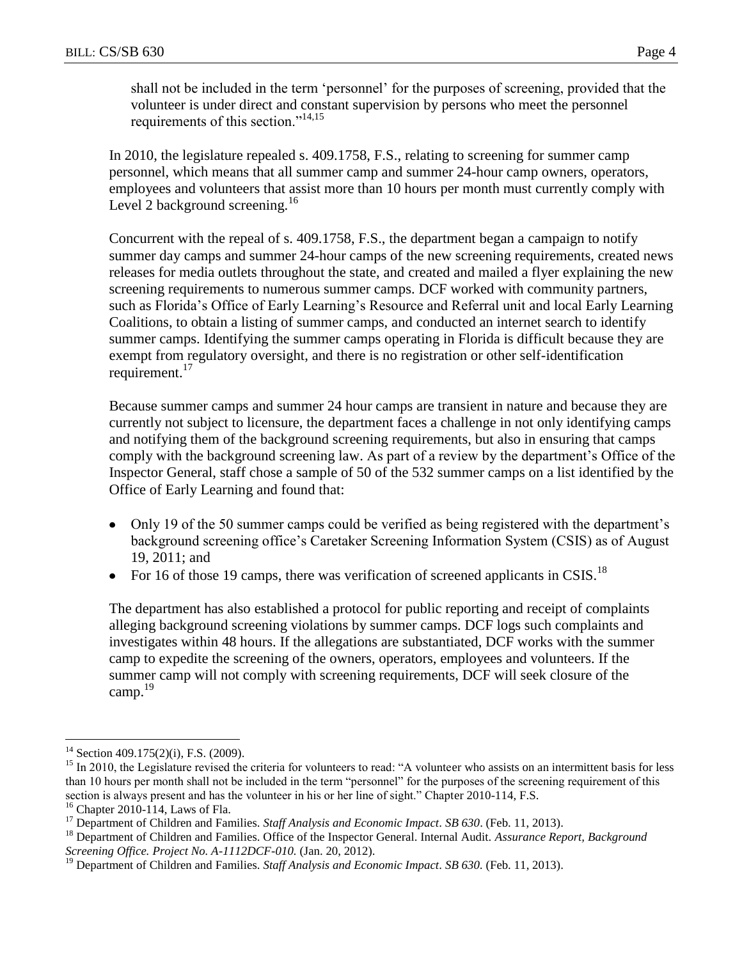shall not be included in the term "personnel" for the purposes of screening, provided that the volunteer is under direct and constant supervision by persons who meet the personnel requirements of this section."14,15

In 2010, the legislature repealed s. 409.1758, F.S., relating to screening for summer camp personnel, which means that all summer camp and summer 24-hour camp owners, operators, employees and volunteers that assist more than 10 hours per month must currently comply with Level 2 background screening.<sup>16</sup>

Concurrent with the repeal of s. 409.1758, F.S., the department began a campaign to notify summer day camps and summer 24-hour camps of the new screening requirements, created news releases for media outlets throughout the state, and created and mailed a flyer explaining the new screening requirements to numerous summer camps. DCF worked with community partners, such as Florida"s Office of Early Learning"s Resource and Referral unit and local Early Learning Coalitions, to obtain a listing of summer camps, and conducted an internet search to identify summer camps. Identifying the summer camps operating in Florida is difficult because they are exempt from regulatory oversight, and there is no registration or other self-identification requirement.<sup>17</sup>

Because summer camps and summer 24 hour camps are transient in nature and because they are currently not subject to licensure, the department faces a challenge in not only identifying camps and notifying them of the background screening requirements, but also in ensuring that camps comply with the background screening law. As part of a review by the department"s Office of the Inspector General, staff chose a sample of 50 of the 532 summer camps on a list identified by the Office of Early Learning and found that:

- Only 19 of the 50 summer camps could be verified as being registered with the department's background screening office"s Caretaker Screening Information System (CSIS) as of August 19, 2011; and
- For 16 of those 19 camps, there was verification of screened applicants in CSIS.<sup>18</sup>

The department has also established a protocol for public reporting and receipt of complaints alleging background screening violations by summer camps. DCF logs such complaints and investigates within 48 hours. If the allegations are substantiated, DCF works with the summer camp to expedite the screening of the owners, operators, employees and volunteers. If the summer camp will not comply with screening requirements, DCF will seek closure of the camp. $^{19}$ 

<sup>16</sup> Chapter 2010-114, Laws of Fla.

 $\overline{a}$  $14$  Section 409.175(2)(i), F.S. (2009).

<sup>&</sup>lt;sup>15</sup> In 2010, the Legislature revised the criteria for volunteers to read: "A volunteer who assists on an intermittent basis for less than 10 hours per month shall not be included in the term "personnel" for the purposes of the screening requirement of this section is always present and has the volunteer in his or her line of sight." Chapter 2010-114, F.S.

<sup>&</sup>lt;sup>17</sup> Department of Children and Families. *Staff Analysis and Economic Impact*. *SB* 630. (Feb. 11, 2013).

<sup>18</sup> Department of Children and Families. Office of the Inspector General. Internal Audit. *Assurance Report, Background Screening Office. Project No. A-1112DCF-010.* (Jan. 20, 2012).

<sup>&</sup>lt;sup>19</sup> Department of Children and Families. *Staff Analysis and Economic Impact. SB 630*. (Feb. 11, 2013).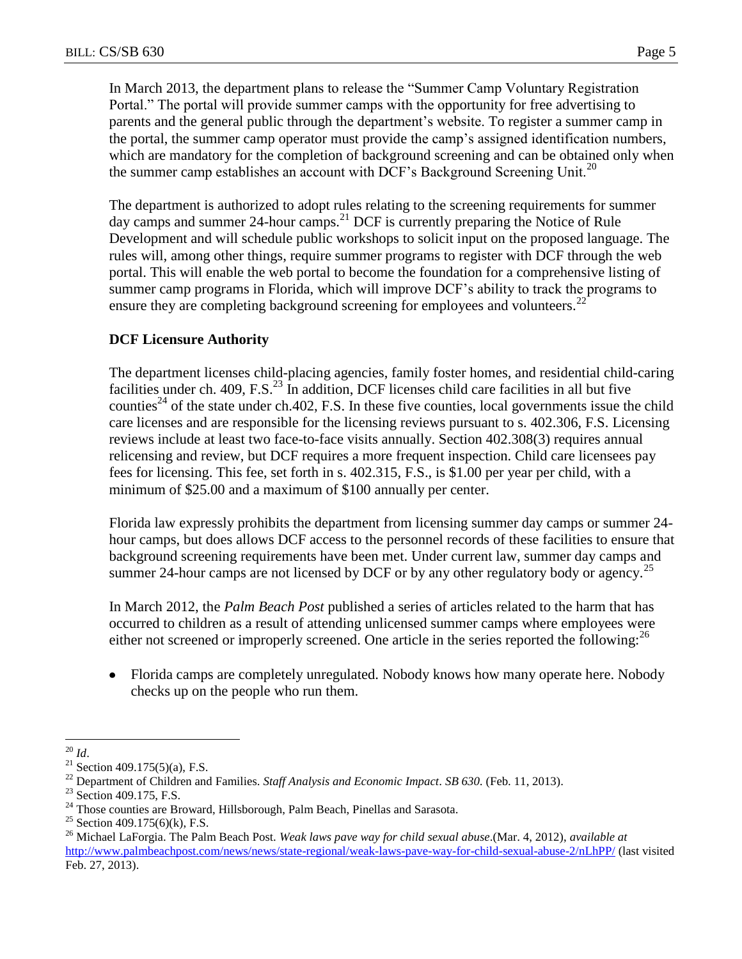In March 2013, the department plans to release the "Summer Camp Voluntary Registration Portal." The portal will provide summer camps with the opportunity for free advertising to parents and the general public through the department's website. To register a summer camp in the portal, the summer camp operator must provide the camp"s assigned identification numbers, which are mandatory for the completion of background screening and can be obtained only when the summer camp establishes an account with DCF's Background Screening Unit.<sup>20</sup>

The department is authorized to adopt rules relating to the screening requirements for summer day camps and summer 24-hour camps.<sup>21</sup> DCF is currently preparing the Notice of Rule Development and will schedule public workshops to solicit input on the proposed language. The rules will, among other things, require summer programs to register with DCF through the web portal. This will enable the web portal to become the foundation for a comprehensive listing of summer camp programs in Florida, which will improve DCF"s ability to track the programs to ensure they are completing background screening for employees and volunteers.<sup>22</sup>

### **DCF Licensure Authority**

The department licenses child-placing agencies, family foster homes, and residential child-caring facilities under ch. 409, F.S.<sup>23</sup> In addition, DCF licenses child care facilities in all but five counties<sup>24</sup> of the state under ch.402, F.S. In these five counties, local governments issue the child care licenses and are responsible for the licensing reviews pursuant to s. 402.306, F.S. Licensing reviews include at least two face-to-face visits annually. Section 402.308(3) requires annual relicensing and review, but DCF requires a more frequent inspection. Child care licensees pay fees for licensing. This fee, set forth in s. 402.315, F.S., is \$1.00 per year per child, with a minimum of \$25.00 and a maximum of \$100 annually per center.

Florida law expressly prohibits the department from licensing summer day camps or summer 24 hour camps, but does allows DCF access to the personnel records of these facilities to ensure that background screening requirements have been met. Under current law, summer day camps and summer 24-hour camps are not licensed by DCF or by any other regulatory body or agency.<sup>25</sup>

In March 2012, the *Palm Beach Post* published a series of articles related to the harm that has occurred to children as a result of attending unlicensed summer camps where employees were either not screened or improperly screened. One article in the series reported the following:  $^{26}$ 

Florida camps are completely unregulated. Nobody knows how many operate here. Nobody checks up on the people who run them.

 $\overline{a}$ 

<sup>20</sup> *Id*.

<sup>&</sup>lt;sup>21</sup> Section 409.175(5)(a), F.S.

<sup>22</sup> Department of Children and Families. *Staff Analysis and Economic Impact*. *SB 630.* (Feb. 11, 2013).

<sup>&</sup>lt;sup>23</sup> Section 409.175, F.S.

<sup>&</sup>lt;sup>24</sup> Those counties are Broward, Hillsborough, Palm Beach, Pinellas and Sarasota.

<sup>&</sup>lt;sup>25</sup> Section 409.175(6)(k), F.S.

<sup>26</sup> Michael LaForgia. The Palm Beach Post. *Weak laws pave way for child sexual abuse*.(Mar. 4, 2012), *available at*  <http://www.palmbeachpost.com/news/news/state-regional/weak-laws-pave-way-for-child-sexual-abuse-2/nLhPP/> (last visited Feb. 27, 2013).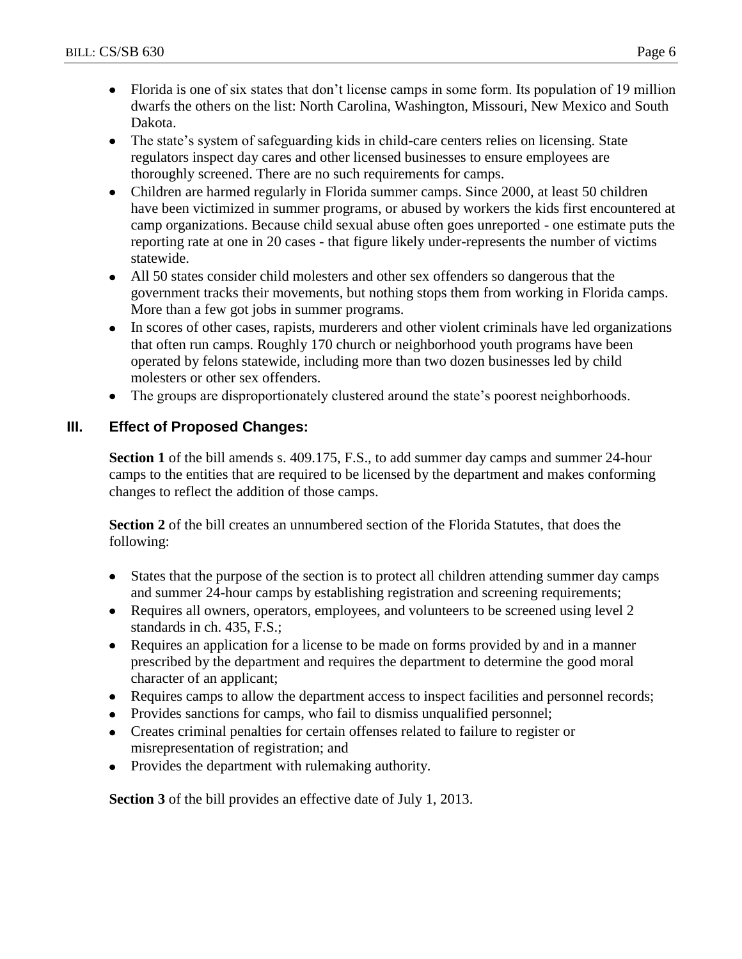- Florida is one of six states that don't license camps in some form. Its population of 19 million dwarfs the others on the list: North Carolina, Washington, Missouri, New Mexico and South Dakota.
- The state's system of safeguarding kids in child-care centers relies on licensing. State regulators inspect day cares and other licensed businesses to ensure employees are thoroughly screened. There are no such requirements for camps.
- Children are harmed regularly in Florida summer camps. Since 2000, at least 50 children have been victimized in summer programs, or abused by workers the kids first encountered at camp organizations. Because child sexual abuse often goes unreported - one estimate puts the reporting rate at one in 20 cases - that figure likely under-represents the number of victims statewide.
- All 50 states consider child molesters and other sex offenders so dangerous that the government tracks their movements, but nothing stops them from working in Florida camps. More than a few got jobs in summer programs.
- In scores of other cases, rapists, murderers and other violent criminals have led organizations that often run camps. Roughly 170 church or neighborhood youth programs have been operated by felons statewide, including more than two dozen businesses led by child molesters or other sex offenders.
- The groups are disproportionately clustered around the state"s poorest neighborhoods.

# **III. Effect of Proposed Changes:**

**Section 1** of the bill amends s. 409.175, F.S., to add summer day camps and summer 24-hour camps to the entities that are required to be licensed by the department and makes conforming changes to reflect the addition of those camps.

**Section 2** of the bill creates an unnumbered section of the Florida Statutes, that does the following:

- States that the purpose of the section is to protect all children attending summer day camps and summer 24-hour camps by establishing registration and screening requirements;
- Requires all owners, operators, employees, and volunteers to be screened using level 2  $\bullet$ standards in ch. 435, F.S.;
- Requires an application for a license to be made on forms provided by and in a manner prescribed by the department and requires the department to determine the good moral character of an applicant;
- Requires camps to allow the department access to inspect facilities and personnel records;
- Provides sanctions for camps, who fail to dismiss unqualified personnel;
- Creates criminal penalties for certain offenses related to failure to register or misrepresentation of registration; and
- Provides the department with rulemaking authority.

**Section 3** of the bill provides an effective date of July 1, 2013.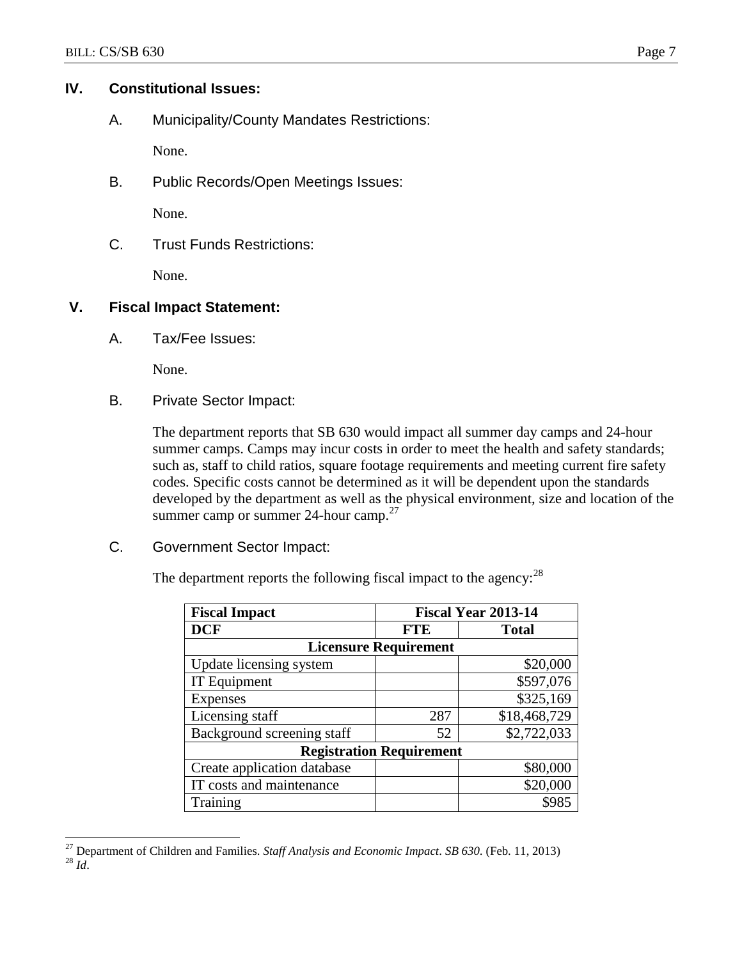### **IV. Constitutional Issues:**

A. Municipality/County Mandates Restrictions:

None.

B. Public Records/Open Meetings Issues:

None.

C. Trust Funds Restrictions:

None.

### **V. Fiscal Impact Statement:**

A. Tax/Fee Issues:

None.

B. Private Sector Impact:

The department reports that SB 630 would impact all summer day camps and 24-hour summer camps. Camps may incur costs in order to meet the health and safety standards; such as, staff to child ratios, square footage requirements and meeting current fire safety codes. Specific costs cannot be determined as it will be dependent upon the standards developed by the department as well as the physical environment, size and location of the summer camp or summer 24-hour camp.<sup>27</sup>

C. Government Sector Impact:

The department reports the following fiscal impact to the agency:<sup>28</sup>

| <b>Fiscal Impact</b>            | <b>Fiscal Year 2013-14</b> |              |  |  |  |  |
|---------------------------------|----------------------------|--------------|--|--|--|--|
| <b>DCF</b>                      | <b>FTE</b>                 | <b>Total</b> |  |  |  |  |
| <b>Licensure Requirement</b>    |                            |              |  |  |  |  |
| Update licensing system         |                            | \$20,000     |  |  |  |  |
| IT Equipment                    |                            | \$597,076    |  |  |  |  |
| Expenses                        |                            | \$325,169    |  |  |  |  |
| Licensing staff                 | 287                        | \$18,468,729 |  |  |  |  |
| Background screening staff      | 52                         | \$2,722,033  |  |  |  |  |
| <b>Registration Requirement</b> |                            |              |  |  |  |  |
| Create application database     |                            | \$80,000     |  |  |  |  |
| IT costs and maintenance        |                            | \$20,000     |  |  |  |  |
| Training                        |                            | \$985        |  |  |  |  |

 $\overline{a}$ <sup>27</sup> Department of Children and Families. *Staff Analysis and Economic Impact*. *SB 630.* (Feb. 11, 2013) <sup>28</sup> *Id*.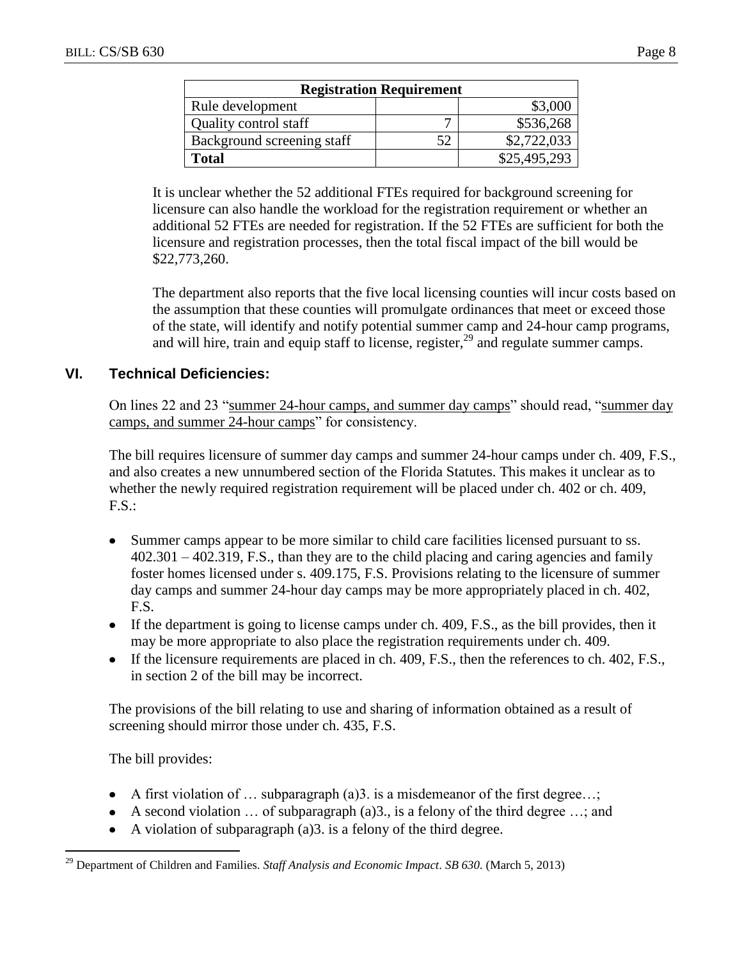| <b>Registration Requirement</b> |    |              |  |  |  |  |
|---------------------------------|----|--------------|--|--|--|--|
| Rule development                |    | \$3,000      |  |  |  |  |
| Quality control staff           |    | \$536,268    |  |  |  |  |
| Background screening staff      | 52 | \$2,722,033  |  |  |  |  |
| <b>Total</b>                    |    | \$25,495,293 |  |  |  |  |

It is unclear whether the 52 additional FTEs required for background screening for licensure can also handle the workload for the registration requirement or whether an additional 52 FTEs are needed for registration. If the 52 FTEs are sufficient for both the licensure and registration processes, then the total fiscal impact of the bill would be \$22,773,260.

The department also reports that the five local licensing counties will incur costs based on the assumption that these counties will promulgate ordinances that meet or exceed those of the state, will identify and notify potential summer camp and 24-hour camp programs, and will hire, train and equip staff to license, register,<sup>29</sup> and regulate summer camps.

# **VI. Technical Deficiencies:**

On lines 22 and 23 "summer 24-hour camps, and summer day camps" should read, "summer day camps, and summer 24-hour camps" for consistency.

The bill requires licensure of summer day camps and summer 24-hour camps under ch. 409, F.S., and also creates a new unnumbered section of the Florida Statutes. This makes it unclear as to whether the newly required registration requirement will be placed under ch. 402 or ch. 409, F.S.:

- Summer camps appear to be more similar to child care facilities licensed pursuant to ss. 402.301 – 402.319, F.S., than they are to the child placing and caring agencies and family foster homes licensed under s. 409.175, F.S. Provisions relating to the licensure of summer day camps and summer 24-hour day camps may be more appropriately placed in ch. 402, F.S.
- $\bullet$  If the department is going to license camps under ch. 409, F.S., as the bill provides, then it may be more appropriate to also place the registration requirements under ch. 409.
- If the licensure requirements are placed in ch. 409, F.S., then the references to ch. 402, F.S., in section 2 of the bill may be incorrect.

The provisions of the bill relating to use and sharing of information obtained as a result of screening should mirror those under ch. 435, F.S.

The bill provides:

 $\overline{a}$ 

- A first violation of  $\ldots$  subparagraph (a)3. is a misdemeanor of the first degree...;
- A second violation  $\ldots$  of subparagraph (a)3., is a felony of the third degree  $\ldots$ ; and
- A violation of subparagraph (a)3. is a felony of the third degree.  $\bullet$

<sup>29</sup> Department of Children and Families. *Staff Analysis and Economic Impact*. *SB 630.* (March 5, 2013)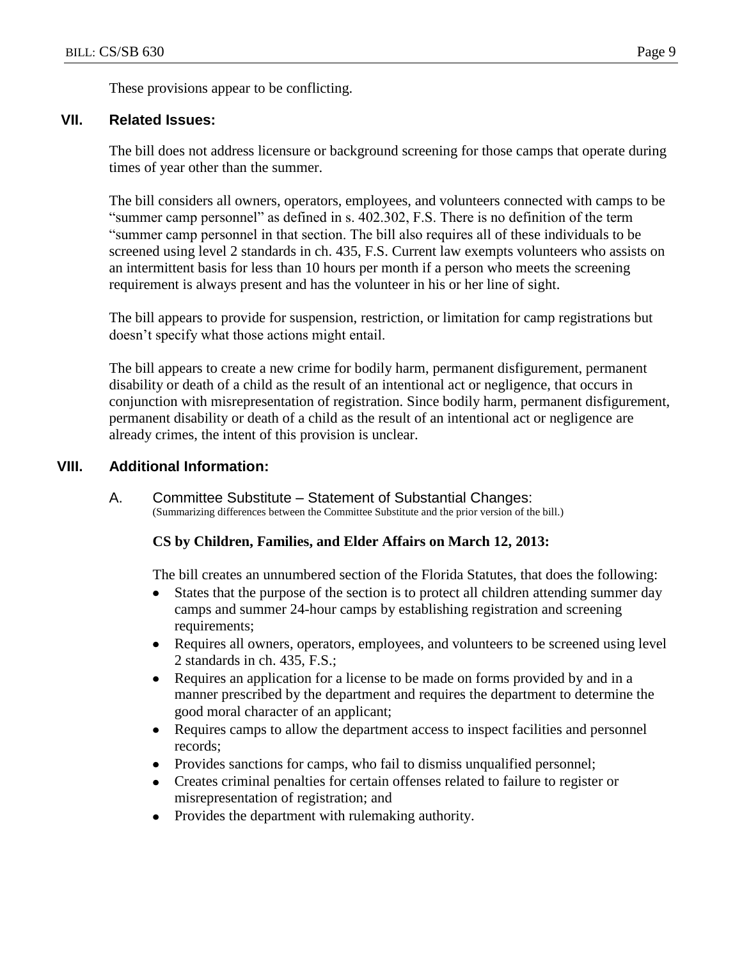These provisions appear to be conflicting.

### **VII. Related Issues:**

The bill does not address licensure or background screening for those camps that operate during times of year other than the summer.

The bill considers all owners, operators, employees, and volunteers connected with camps to be "summer camp personnel" as defined in s. 402.302, F.S. There is no definition of the term "summer camp personnel in that section. The bill also requires all of these individuals to be screened using level 2 standards in ch. 435, F.S. Current law exempts volunteers who assists on an intermittent basis for less than 10 hours per month if a person who meets the screening requirement is always present and has the volunteer in his or her line of sight.

The bill appears to provide for suspension, restriction, or limitation for camp registrations but doesn"t specify what those actions might entail.

The bill appears to create a new crime for bodily harm, permanent disfigurement, permanent disability or death of a child as the result of an intentional act or negligence, that occurs in conjunction with misrepresentation of registration. Since bodily harm, permanent disfigurement, permanent disability or death of a child as the result of an intentional act or negligence are already crimes, the intent of this provision is unclear.

### **VIII. Additional Information:**

A. Committee Substitute – Statement of Substantial Changes: (Summarizing differences between the Committee Substitute and the prior version of the bill.)

#### **CS by Children, Families, and Elder Affairs on March 12, 2013:**

The bill creates an unnumbered section of the Florida Statutes, that does the following:

- States that the purpose of the section is to protect all children attending summer day  $\bullet$ camps and summer 24-hour camps by establishing registration and screening requirements;
- $\bullet$ Requires all owners, operators, employees, and volunteers to be screened using level 2 standards in ch. 435, F.S.;
- Requires an application for a license to be made on forms provided by and in a  $\bullet$ manner prescribed by the department and requires the department to determine the good moral character of an applicant;
- $\bullet$ Requires camps to allow the department access to inspect facilities and personnel records;
- Provides sanctions for camps, who fail to dismiss unqualified personnel;  $\bullet$
- Creates criminal penalties for certain offenses related to failure to register or  $\bullet$ misrepresentation of registration; and
- Provides the department with rulemaking authority. $\bullet$